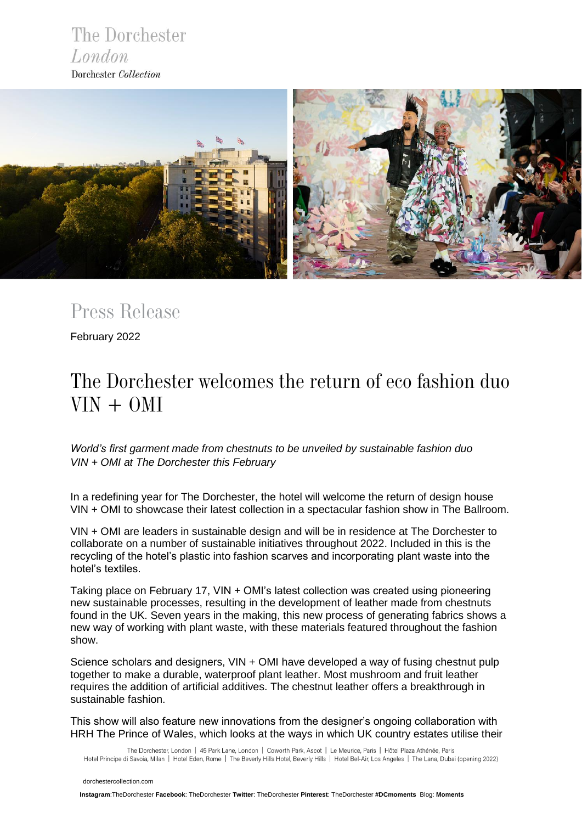



## *Press Release*

February 2022

# *The Dorchester welcomes the return of eco fashion duo VIN + OMI*

*World's first garment made from chestnuts to be unveiled by sustainable fashion duo VIN + OMI at The Dorchester this February*

In a redefining year for The Dorchester, the hotel will welcome the return of design house VIN + OMI to showcase their latest collection in a spectacular fashion show in The Ballroom.

VIN + OMI are leaders in sustainable design and will be in residence at The Dorchester to collaborate on a number of sustainable initiatives throughout 2022. Included in this is the recycling of the hotel's plastic into fashion scarves and incorporating plant waste into the hotel's textiles.

Taking place on February 17, VIN + OMI's latest collection was created using pioneering new sustainable processes, resulting in the development of leather made from chestnuts found in the UK. Seven years in the making, this new process of generating fabrics shows a new way of working with plant waste, with these materials featured throughout the fashion show.

Science scholars and designers, VIN + OMI have developed a way of fusing chestnut pulp together to make a durable, waterproof plant leather. Most mushroom and fruit leather requires the addition of artificial additives. The chestnut leather offers a breakthrough in sustainable fashion.

This show will also feature new innovations from the designer's ongoing collaboration with HRH The Prince of Wales, which looks at the ways in which UK country estates utilise their

The Dorchester, London | 45 Park Lane, London | Coworth Park, Ascot | Le Meurice, Paris | Hôtel Plaza Athénée, Paris Hotel Principe di Savoia, Milan | Hotel Eden, Rome | The Beverly Hills Hotel, Beverly Hills | Hotel Bel-Air, Los Angeles | The Lana, Dubai (opening 2022)